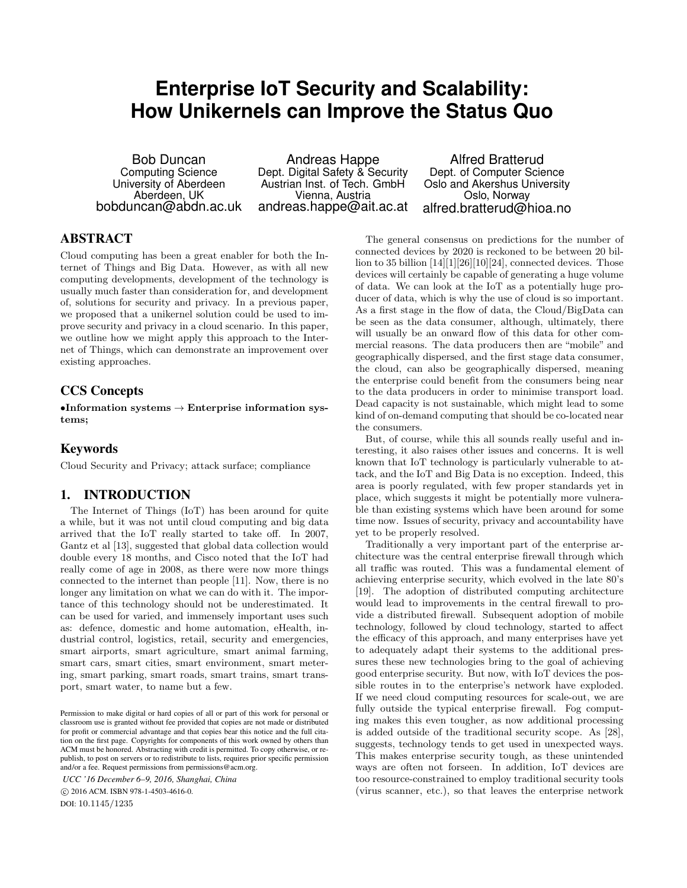# **Enterprise IoT Security and Scalability: How Unikernels can Improve the Status Quo**

Bob Duncan Computing Science University of Aberdeen Aberdeen, UK bobduncan@abdn.ac.uk

Andreas Happe Dept. Digital Safety & Security Austrian Inst. of Tech. GmbH Vienna, Austria andreas.happe@ait.ac.at

Alfred Bratterud Dept. of Computer Science Oslo and Akershus University Oslo, Norway alfred.bratterud@hioa.no

# ABSTRACT

Cloud computing has been a great enabler for both the Internet of Things and Big Data. However, as with all new computing developments, development of the technology is usually much faster than consideration for, and development of, solutions for security and privacy. In a previous paper, we proposed that a unikernel solution could be used to improve security and privacy in a cloud scenario. In this paper, we outline how we might apply this approach to the Internet of Things, which can demonstrate an improvement over existing approaches.

# CCS Concepts

 $\bullet$ Information systems  $\to$  Enterprise information systems;

# Keywords

Cloud Security and Privacy; attack surface; compliance

# 1. INTRODUCTION

The Internet of Things (IoT) has been around for quite a while, but it was not until cloud computing and big data arrived that the IoT really started to take off. In 2007, Gantz et al [13], suggested that global data collection would double every 18 months, and Cisco noted that the IoT had really come of age in 2008, as there were now more things connected to the internet than people [11]. Now, there is no longer any limitation on what we can do with it. The importance of this technology should not be underestimated. It can be used for varied, and immensely important uses such as: defence, domestic and home automation, eHealth, industrial control, logistics, retail, security and emergencies, smart airports, smart agriculture, smart animal farming, smart cars, smart cities, smart environment, smart metering, smart parking, smart roads, smart trains, smart transport, smart water, to name but a few.

*UCC '16 December 6–9, 2016, Shanghai, China*

 c 2016 ACM. ISBN 978-1-4503-4616-0. DOI: 10.1145/1235

The general consensus on predictions for the number of connected devices by 2020 is reckoned to be between 20 billion to 35 billion [14][1][26][10][24], connected devices. Those devices will certainly be capable of generating a huge volume of data. We can look at the IoT as a potentially huge producer of data, which is why the use of cloud is so important. As a first stage in the flow of data, the Cloud/BigData can be seen as the data consumer, although, ultimately, there will usually be an onward flow of this data for other commercial reasons. The data producers then are "mobile" and geographically dispersed, and the first stage data consumer, the cloud, can also be geographically dispersed, meaning the enterprise could benefit from the consumers being near to the data producers in order to minimise transport load. Dead capacity is not sustainable, which might lead to some kind of on-demand computing that should be co-located near the consumers.

But, of course, while this all sounds really useful and interesting, it also raises other issues and concerns. It is well known that IoT technology is particularly vulnerable to attack, and the IoT and Big Data is no exception. Indeed, this area is poorly regulated, with few proper standards yet in place, which suggests it might be potentially more vulnerable than existing systems which have been around for some time now. Issues of security, privacy and accountability have yet to be properly resolved.

Traditionally a very important part of the enterprise architecture was the central enterprise firewall through which all traffic was routed. This was a fundamental element of achieving enterprise security, which evolved in the late 80's [19]. The adoption of distributed computing architecture would lead to improvements in the central firewall to provide a distributed firewall. Subsequent adoption of mobile technology, followed by cloud technology, started to affect the efficacy of this approach, and many enterprises have yet to adequately adapt their systems to the additional pressures these new technologies bring to the goal of achieving good enterprise security. But now, with IoT devices the possible routes in to the enterprise's network have exploded. If we need cloud computing resources for scale-out, we are fully outside the typical enterprise firewall. Fog computing makes this even tougher, as now additional processing is added outside of the traditional security scope. As [28], suggests, technology tends to get used in unexpected ways. This makes enterprise security tough, as these unintended ways are often not forseen. In addition, IoT devices are too resource-constrained to employ traditional security tools (virus scanner, etc.), so that leaves the enterprise network

Permission to make digital or hard copies of all or part of this work for personal or classroom use is granted without fee provided that copies are not made or distributed for profit or commercial advantage and that copies bear this notice and the full citation on the first page. Copyrights for components of this work owned by others than ACM must be honored. Abstracting with credit is permitted. To copy otherwise, or republish, to post on servers or to redistribute to lists, requires prior specific permission and/or a fee. Request permissions from permissions@acm.org.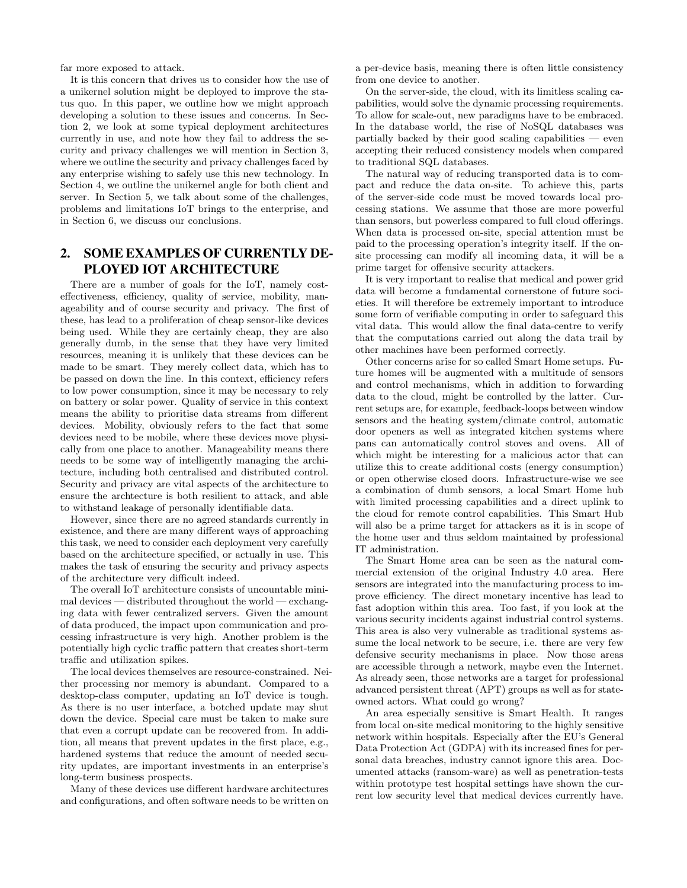far more exposed to attack.

It is this concern that drives us to consider how the use of a unikernel solution might be deployed to improve the status quo. In this paper, we outline how we might approach developing a solution to these issues and concerns. In Section 2, we look at some typical deployment architectures currently in use, and note how they fail to address the security and privacy challenges we will mention in Section 3, where we outline the security and privacy challenges faced by any enterprise wishing to safely use this new technology. In Section 4, we outline the unikernel angle for both client and server. In Section 5, we talk about some of the challenges, problems and limitations IoT brings to the enterprise, and in Section 6, we discuss our conclusions.

# 2. SOME EXAMPLES OF CURRENTLY DE-PLOYED IOT ARCHITECTURE

There are a number of goals for the IoT, namely costeffectiveness, efficiency, quality of service, mobility, manageability and of course security and privacy. The first of these, has lead to a proliferation of cheap sensor-like devices being used. While they are certainly cheap, they are also generally dumb, in the sense that they have very limited resources, meaning it is unlikely that these devices can be made to be smart. They merely collect data, which has to be passed on down the line. In this context, efficiency refers to low power consumption, since it may be necessary to rely on battery or solar power. Quality of service in this context means the ability to prioritise data streams from different devices. Mobility, obviously refers to the fact that some devices need to be mobile, where these devices move physically from one place to another. Manageability means there needs to be some way of intelligently managing the architecture, including both centralised and distributed control. Security and privacy are vital aspects of the architecture to ensure the archtecture is both resilient to attack, and able to withstand leakage of personally identifiable data.

However, since there are no agreed standards currently in existence, and there are many different ways of approaching this task, we need to consider each deployment very carefully based on the architecture specified, or actually in use. This makes the task of ensuring the security and privacy aspects of the architecture very difficult indeed.

The overall IoT architecture consists of uncountable minimal devices — distributed throughout the world — exchanging data with fewer centralized servers. Given the amount of data produced, the impact upon communication and processing infrastructure is very high. Another problem is the potentially high cyclic traffic pattern that creates short-term traffic and utilization spikes.

The local devices themselves are resource-constrained. Neither processing nor memory is abundant. Compared to a desktop-class computer, updating an IoT device is tough. As there is no user interface, a botched update may shut down the device. Special care must be taken to make sure that even a corrupt update can be recovered from. In addition, all means that prevent updates in the first place, e.g., hardened systems that reduce the amount of needed security updates, are important investments in an enterprise's long-term business prospects.

Many of these devices use different hardware architectures and configurations, and often software needs to be written on

a per-device basis, meaning there is often little consistency from one device to another.

On the server-side, the cloud, with its limitless scaling capabilities, would solve the dynamic processing requirements. To allow for scale-out, new paradigms have to be embraced. In the database world, the rise of NoSQL databases was partially backed by their good scaling capabilities  $-$  even accepting their reduced consistency models when compared to traditional SQL databases.

The natural way of reducing transported data is to compact and reduce the data on-site. To achieve this, parts of the server-side code must be moved towards local processing stations. We assume that those are more powerful than sensors, but powerless compared to full cloud offerings. When data is processed on-site, special attention must be paid to the processing operation's integrity itself. If the onsite processing can modify all incoming data, it will be a prime target for offensive security attackers.

It is very important to realise that medical and power grid data will become a fundamental cornerstone of future societies. It will therefore be extremely important to introduce some form of verifiable computing in order to safeguard this vital data. This would allow the final data-centre to verify that the computations carried out along the data trail by other machines have been performed correctly.

Other concerns arise for so called Smart Home setups. Future homes will be augmented with a multitude of sensors and control mechanisms, which in addition to forwarding data to the cloud, might be controlled by the latter. Current setups are, for example, feedback-loops between window sensors and the heating system/climate control, automatic door openers as well as integrated kitchen systems where pans can automatically control stoves and ovens. All of which might be interesting for a malicious actor that can utilize this to create additional costs (energy consumption) or open otherwise closed doors. Infrastructure-wise we see a combination of dumb sensors, a local Smart Home hub with limited processing capabilities and a direct uplink to the cloud for remote control capabilities. This Smart Hub will also be a prime target for attackers as it is in scope of the home user and thus seldom maintained by professional IT administration.

The Smart Home area can be seen as the natural commercial extension of the original Industry 4.0 area. Here sensors are integrated into the manufacturing process to improve efficiency. The direct monetary incentive has lead to fast adoption within this area. Too fast, if you look at the various security incidents against industrial control systems. This area is also very vulnerable as traditional systems assume the local network to be secure, i.e. there are very few defensive security mechanisms in place. Now those areas are accessible through a network, maybe even the Internet. As already seen, those networks are a target for professional advanced persistent threat (APT) groups as well as for stateowned actors. What could go wrong?

An area especially sensitive is Smart Health. It ranges from local on-site medical monitoring to the highly sensitive network within hospitals. Especially after the EU's General Data Protection Act (GDPA) with its increased fines for personal data breaches, industry cannot ignore this area. Documented attacks (ransom-ware) as well as penetration-tests within prototype test hospital settings have shown the current low security level that medical devices currently have.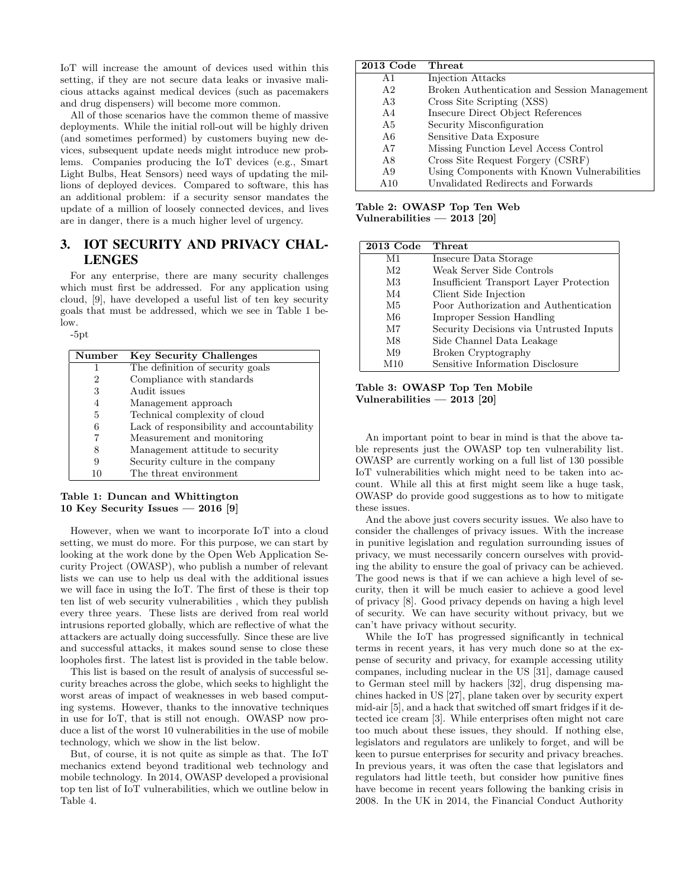IoT will increase the amount of devices used within this setting, if they are not secure data leaks or invasive malicious attacks against medical devices (such as pacemakers and drug dispensers) will become more common.

All of those scenarios have the common theme of massive deployments. While the initial roll-out will be highly driven (and sometimes performed) by customers buying new devices, subsequent update needs might introduce new problems. Companies producing the IoT devices (e.g., Smart Light Bulbs, Heat Sensors) need ways of updating the millions of deployed devices. Compared to software, this has an additional problem: if a security sensor mandates the update of a million of loosely connected devices, and lives are in danger, there is a much higher level of urgency.

# 3. IOT SECURITY AND PRIVACY CHAL-LENGES

For any enterprise, there are many security challenges which must first be addressed. For any application using cloud, [9], have developed a useful list of ten key security goals that must be addressed, which we see in Table 1 below.

-5pt

| Number | <b>Key Security Challenges</b>            |
|--------|-------------------------------------------|
| 1      | The definition of security goals          |
| 2      | Compliance with standards                 |
| 3      | Audit issues                              |
| 4      | Management approach                       |
| 5      | Technical complexity of cloud             |
| 6      | Lack of responsibility and accountability |
|        | Measurement and monitoring                |
| 8      | Management attitude to security           |
| 9      | Security culture in the company           |
| 10     | The threat environment                    |

#### Table 1: Duncan and Whittington 10 Key Security Issues — 2016 [9]

However, when we want to incorporate IoT into a cloud setting, we must do more. For this purpose, we can start by looking at the work done by the Open Web Application Security Project (OWASP), who publish a number of relevant lists we can use to help us deal with the additional issues we will face in using the IoT. The first of these is their top ten list of web security vulnerabilities , which they publish every three years. These lists are derived from real world intrusions reported globally, which are reflective of what the attackers are actually doing successfully. Since these are live and successful attacks, it makes sound sense to close these loopholes first. The latest list is provided in the table below.

This list is based on the result of analysis of successful security breaches across the globe, which seeks to highlight the worst areas of impact of weaknesses in web based computing systems. However, thanks to the innovative techniques in use for IoT, that is still not enough. OWASP now produce a list of the worst 10 vulnerabilities in the use of mobile technology, which we show in the list below.

But, of course, it is not quite as simple as that. The IoT mechanics extend beyond traditional web technology and mobile technology. In 2014, OWASP developed a provisional top ten list of IoT vulnerabilities, which we outline below in Table 4.

#### 2013 Code Threat

| A1             | Injection Attacks                            |
|----------------|----------------------------------------------|
| A <sub>2</sub> | Broken Authentication and Session Management |
| A3             | Cross Site Scripting (XSS)                   |
| AA             | Insecure Direct Object References            |
| A5             | Security Misconfiguration                    |
| A6             | Sensitive Data Exposure                      |
| A7             | Missing Function Level Access Control        |
| A8             | Cross Site Request Forgery (CSRF)            |
| A9             | Using Components with Known Vulnerabilities  |
| A 10           | Unvalidated Redirects and Forwards           |

Table 2: OWASP Top Ten Web Vulnerabilities — 2013 [20]

| $2013$ Code    | Threat                                  |
|----------------|-----------------------------------------|
| M1             | Insecure Data Storage                   |
| M2             | Weak Server Side Controls               |
| M <sub>3</sub> | Insufficient Transport Layer Protection |
| M4             | Client Side Injection                   |
| M5             | Poor Authorization and Authentication   |
| M6             | <b>Improper Session Handling</b>        |
| M7             | Security Decisions via Untrusted Inputs |
| M8             | Side Channel Data Leakage               |
| M9             | Broken Cryptography                     |
| M10            | Sensitive Information Disclosure        |

Table 3: OWASP Top Ten Mobile Vulnerabilities — 2013 [20]

An important point to bear in mind is that the above table represents just the OWASP top ten vulnerability list. OWASP are currently working on a full list of 130 possible IoT vulnerabilities which might need to be taken into account. While all this at first might seem like a huge task, OWASP do provide good suggestions as to how to mitigate these issues.

And the above just covers security issues. We also have to consider the challenges of privacy issues. With the increase in punitive legislation and regulation surrounding issues of privacy, we must necessarily concern ourselves with providing the ability to ensure the goal of privacy can be achieved. The good news is that if we can achieve a high level of security, then it will be much easier to achieve a good level of privacy [8]. Good privacy depends on having a high level of security. We can have security without privacy, but we can't have privacy without security.

While the IoT has progressed significantly in technical terms in recent years, it has very much done so at the expense of security and privacy, for example accessing utility companes, including nuclear in the US [31], damage caused to German steel mill by hackers [32], drug dispensing machines hacked in US [27], plane taken over by security expert mid-air [5], and a hack that switched off smart fridges if it detected ice cream [3]. While enterprises often might not care too much about these issues, they should. If nothing else, legislators and regulators are unlikely to forget, and will be keen to pursue enterprises for security and privacy breaches. In previous years, it was often the case that legislators and regulators had little teeth, but consider how punitive fines have become in recent years following the banking crisis in 2008. In the UK in 2014, the Financial Conduct Authority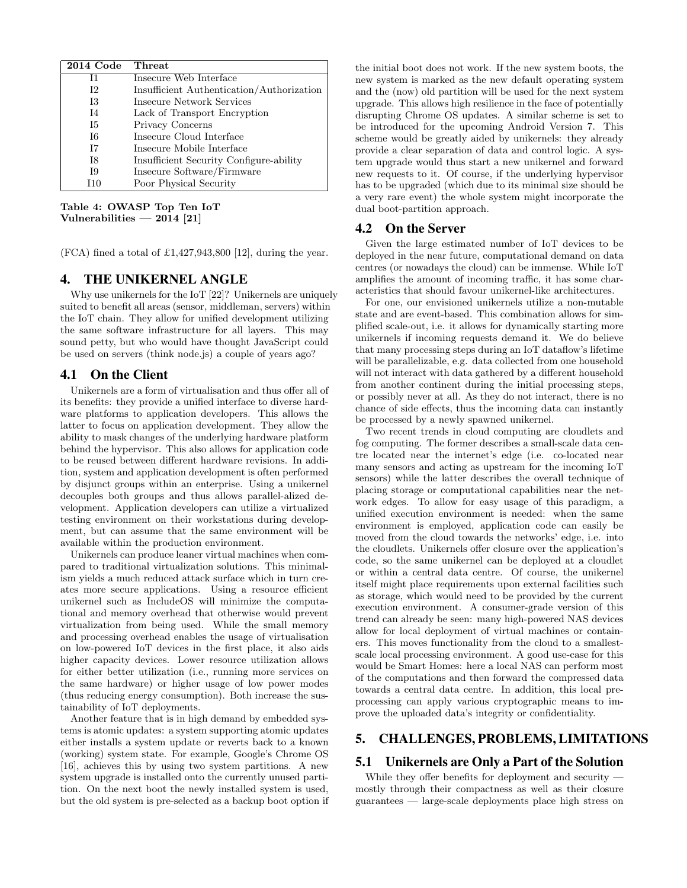| 2014 Code      | Threat                                    |
|----------------|-------------------------------------------|
| T1             | Insecure Web Interface                    |
| I2             | Insufficient Authentication/Authorization |
| <b>I3</b>      | Insecure Network Services                 |
| T <sub>4</sub> | Lack of Transport Encryption              |
| <b>I5</b>      | Privacy Concerns                          |
| Т6             | Insecure Cloud Interface                  |
| T <sub>7</sub> | Insecure Mobile Interface                 |
| I8             | Insufficient Security Configure-ability   |
| I9             | Insecure Software/Firmware                |
|                | Poor Physical Security                    |

Table 4: OWASP Top Ten IoT Vulnerabilities  $-2014$  [21]

 $(FCA)$  fined a total of £1,427,943,800 [12], during the year.

## 4. THE UNIKERNEL ANGLE

Why use unikernels for the IoT [22]? Unikernels are uniquely suited to benefit all areas (sensor, middleman, servers) within the IoT chain. They allow for unified development utilizing the same software infrastructure for all layers. This may sound petty, but who would have thought JavaScript could be used on servers (think node.js) a couple of years ago?

#### 4.1 On the Client

Unikernels are a form of virtualisation and thus offer all of its benefits: they provide a unified interface to diverse hardware platforms to application developers. This allows the latter to focus on application development. They allow the ability to mask changes of the underlying hardware platform behind the hypervisor. This also allows for application code to be reused between different hardware revisions. In addition, system and application development is often performed by disjunct groups within an enterprise. Using a unikernel decouples both groups and thus allows parallel-alized development. Application developers can utilize a virtualized testing environment on their workstations during development, but can assume that the same environment will be available within the production environment.

Unikernels can produce leaner virtual machines when compared to traditional virtualization solutions. This minimalism yields a much reduced attack surface which in turn creates more secure applications. Using a resource efficient unikernel such as IncludeOS will minimize the computational and memory overhead that otherwise would prevent virtualization from being used. While the small memory and processing overhead enables the usage of virtualisation on low-powered IoT devices in the first place, it also aids higher capacity devices. Lower resource utilization allows for either better utilization (i.e., running more services on the same hardware) or higher usage of low power modes (thus reducing energy consumption). Both increase the sustainability of IoT deployments.

Another feature that is in high demand by embedded systems is atomic updates: a system supporting atomic updates either installs a system update or reverts back to a known (working) system state. For example, Google's Chrome OS [16], achieves this by using two system partitions. A new system upgrade is installed onto the currently unused partition. On the next boot the newly installed system is used, but the old system is pre-selected as a backup boot option if the initial boot does not work. If the new system boots, the new system is marked as the new default operating system and the (now) old partition will be used for the next system upgrade. This allows high resilience in the face of potentially disrupting Chrome OS updates. A similar scheme is set to be introduced for the upcoming Android Version 7. This scheme would be greatly aided by unikernels: they already provide a clear separation of data and control logic. A system upgrade would thus start a new unikernel and forward new requests to it. Of course, if the underlying hypervisor has to be upgraded (which due to its minimal size should be a very rare event) the whole system might incorporate the dual boot-partition approach.

#### 4.2 On the Server

Given the large estimated number of IoT devices to be deployed in the near future, computational demand on data centres (or nowadays the cloud) can be immense. While IoT amplifies the amount of incoming traffic, it has some characteristics that should favour unikernel-like architectures.

For one, our envisioned unikernels utilize a non-mutable state and are event-based. This combination allows for simplified scale-out, i.e. it allows for dynamically starting more unikernels if incoming requests demand it. We do believe that many processing steps during an IoT dataflow's lifetime will be parallelizable, e.g. data collected from one household will not interact with data gathered by a different household from another continent during the initial processing steps, or possibly never at all. As they do not interact, there is no chance of side effects, thus the incoming data can instantly be processed by a newly spawned unikernel.

Two recent trends in cloud computing are cloudlets and fog computing. The former describes a small-scale data centre located near the internet's edge (i.e. co-located near many sensors and acting as upstream for the incoming IoT sensors) while the latter describes the overall technique of placing storage or computational capabilities near the network edges. To allow for easy usage of this paradigm, a unified execution environment is needed: when the same environment is employed, application code can easily be moved from the cloud towards the networks' edge, i.e. into the cloudlets. Unikernels offer closure over the application's code, so the same unikernel can be deployed at a cloudlet or within a central data centre. Of course, the unikernel itself might place requirements upon external facilities such as storage, which would need to be provided by the current execution environment. A consumer-grade version of this trend can already be seen: many high-powered NAS devices allow for local deployment of virtual machines or containers. This moves functionality from the cloud to a smallestscale local processing environment. A good use-case for this would be Smart Homes: here a local NAS can perform most of the computations and then forward the compressed data towards a central data centre. In addition, this local preprocessing can apply various cryptographic means to improve the uploaded data's integrity or confidentiality.

# 5. CHALLENGES, PROBLEMS, LIMITATIONS

## 5.1 Unikernels are Only a Part of the Solution

While they offer benefits for deployment and security mostly through their compactness as well as their closure guarantees — large-scale deployments place high stress on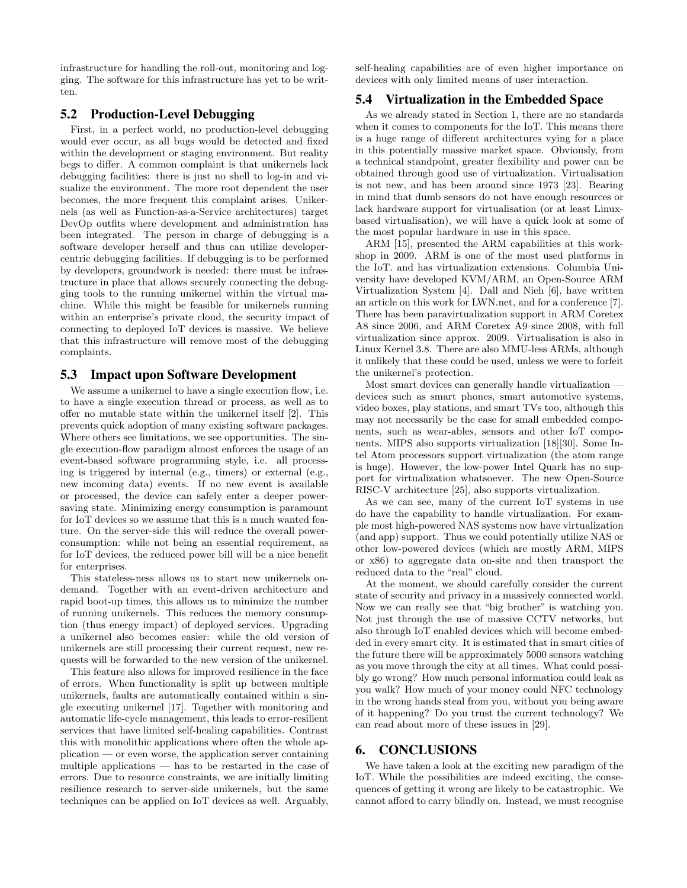infrastructure for handling the roll-out, monitoring and logging. The software for this infrastructure has yet to be written.

### 5.2 Production-Level Debugging

First, in a perfect world, no production-level debugging would ever occur, as all bugs would be detected and fixed within the development or staging environment. But reality begs to differ. A common complaint is that unikernels lack debugging facilities: there is just no shell to log-in and visualize the environment. The more root dependent the user becomes, the more frequent this complaint arises. Unikernels (as well as Function-as-a-Service architectures) target DevOp outfits where development and administration has been integrated. The person in charge of debugging is a software developer herself and thus can utilize developercentric debugging facilities. If debugging is to be performed by developers, groundwork is needed: there must be infrastructure in place that allows securely connecting the debugging tools to the running unikernel within the virtual machine. While this might be feasible for unikernels running within an enterprise's private cloud, the security impact of connecting to deployed IoT devices is massive. We believe that this infrastructure will remove most of the debugging complaints.

#### 5.3 Impact upon Software Development

We assume a unikernel to have a single execution flow, i.e. to have a single execution thread or process, as well as to offer no mutable state within the unikernel itself [2]. This prevents quick adoption of many existing software packages. Where others see limitations, we see opportunities. The single execution-flow paradigm almost enforces the usage of an event-based software programming style, i.e. all processing is triggered by internal (e.g., timers) or external (e.g., new incoming data) events. If no new event is available or processed, the device can safely enter a deeper powersaving state. Minimizing energy consumption is paramount for IoT devices so we assume that this is a much wanted feature. On the server-side this will reduce the overall powerconsumption: while not being an essential requirement, as for IoT devices, the reduced power bill will be a nice benefit for enterprises.

This stateless-ness allows us to start new unikernels ondemand. Together with an event-driven architecture and rapid boot-up times, this allows us to minimize the number of running unikernels. This reduces the memory consumption (thus energy impact) of deployed services. Upgrading a unikernel also becomes easier: while the old version of unikernels are still processing their current request, new requests will be forwarded to the new version of the unikernel.

This feature also allows for improved resilience in the face of errors. When functionality is split up between multiple unikernels, faults are automatically contained within a single executing unikernel [17]. Together with monitoring and automatic life-cycle management, this leads to error-resilient services that have limited self-healing capabilities. Contrast this with monolithic applications where often the whole application — or even worse, the application server containing multiple applications — has to be restarted in the case of errors. Due to resource constraints, we are initially limiting resilience research to server-side unikernels, but the same techniques can be applied on IoT devices as well. Arguably, self-healing capabilities are of even higher importance on devices with only limited means of user interaction.

## 5.4 Virtualization in the Embedded Space

As we already stated in Section 1, there are no standards when it comes to components for the IoT. This means there is a huge range of different architectures vying for a place in this potentially massive market space. Obviously, from a technical standpoint, greater flexibility and power can be obtained through good use of virtualization. Virtualisation is not new, and has been around since 1973 [23]. Bearing in mind that dumb sensors do not have enough resources or lack hardware support for virtualisation (or at least Linuxbased virtualisation), we will have a quick look at some of the most popular hardware in use in this space.

ARM [15], presented the ARM capabilities at this workshop in 2009. ARM is one of the most used platforms in the IoT. and has virtualization extensions. Columbia University have developed KVM/ARM, an Open-Source ARM Virtualization System [4]. Dall and Nieh [6], have written an article on this work for LWN.net, and for a conference [7]. There has been paravirtualization support in ARM Coretex A8 since 2006, and ARM Coretex A9 since 2008, with full virtualization since approx. 2009. Virtualisation is also in Linux Kernel 3.8. There are also MMU-less ARMs, although it unlikely that these could be used, unless we were to forfeit the unikernel's protection.

Most smart devices can generally handle virtualization devices such as smart phones, smart automotive systems, video boxes, play stations, and smart TVs too, although this may not necessarily be the case for small embedded components, such as wear-ables, sensors and other IoT components. MIPS also supports virtualization [18][30]. Some Intel Atom processors support virtualization (the atom range is huge). However, the low-power Intel Quark has no support for virtualization whatsoever. The new Open-Source RISC-V architecture [25], also supports virtualization.

As we can see, many of the current IoT systems in use do have the capability to handle virtualization. For example most high-powered NAS systems now have virtualization (and app) support. Thus we could potentially utilize NAS or other low-powered devices (which are mostly ARM, MIPS or x86) to aggregate data on-site and then transport the reduced data to the "real" cloud.

At the moment, we should carefully consider the current state of security and privacy in a massively connected world. Now we can really see that "big brother" is watching you. Not just through the use of massive CCTV networks, but also through IoT enabled devices which will become embedded in every smart city. It is estimated that in smart cities of the future there will be approximately 5000 sensors watching as you move through the city at all times. What could possibly go wrong? How much personal information could leak as you walk? How much of your money could NFC technology in the wrong hands steal from you, without you being aware of it happening? Do you trust the current technology? We can read about more of these issues in [29].

## 6. CONCLUSIONS

We have taken a look at the exciting new paradigm of the IoT. While the possibilities are indeed exciting, the consequences of getting it wrong are likely to be catastrophic. We cannot afford to carry blindly on. Instead, we must recognise